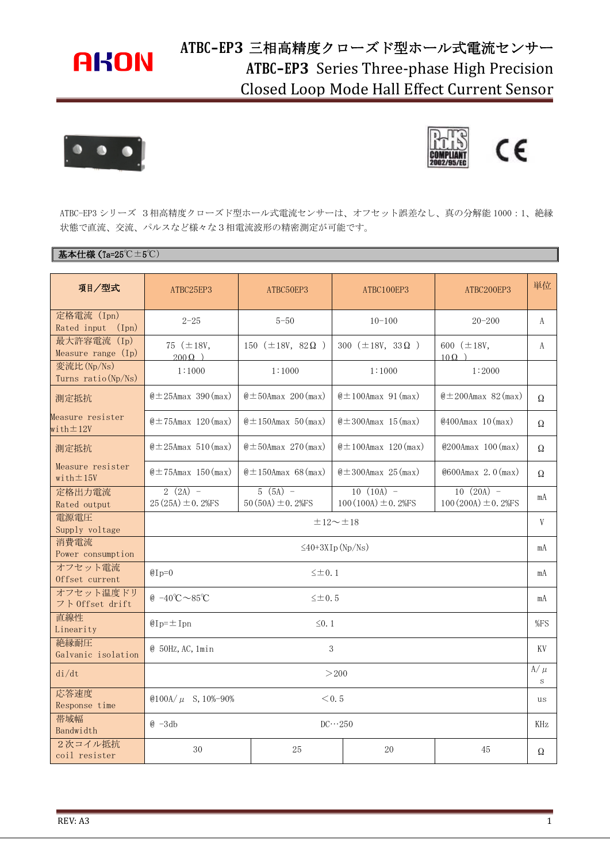## **AKON**

## **ATBC-EP3** 三相高精度クローズド型ホール式電流センサー **ATBC-EP3** Series Three-phase High Precision Closed Loop Mode Hall Effect Current Sensor





ATBC-EP3 シリーズ 3相高精度クローズド型ホール式電流センサーは、オフセット誤差なし、真の分解能 1000:1、絶縁 状態で直流、交流、パルスなど様々な3相電流波形の精密測定が可能です。

#### 基本仕様(Ta=25℃±5℃)

| 項目/型式                                         | ATBC25EP3                                                         | ATBC50EP3                          | ATBC100EP3                             | ATBC200EP3                             | 単位           |
|-----------------------------------------------|-------------------------------------------------------------------|------------------------------------|----------------------------------------|----------------------------------------|--------------|
| 定格電流 (Ipn)<br>Rated input (Ipn)               | $2 - 25$                                                          | $5 - 50$                           | $10 - 100$                             | $20 - 200$                             | A            |
| 最大許容電流 (Ip)<br>Measure range (Ip)             | 75 $(\pm 18V,$<br>$200 \Omega$ )                                  | 150 $(\pm 18V, 82 \Omega)$         | 300 ( $\pm$ 18V, 33 $\Omega$ )         | 600 $(\pm 18V,$<br>$100$ )             | A            |
| 変流比(Np/Ns)<br>Turns ratio (Np/Ns)             | 1:1000                                                            | 1:1000                             | 1:1000                                 | 1:2000                                 |              |
| 測定抵抗                                          | $@ \pm 25$ Amax 390 (max)                                         | $\& \pm 50$ Amax 200 (max)         | $\&$ ± 100Amax 91 (max)                | $\& \pm 200$ Amax 82 (max)             | Ω            |
| Measure resister<br>with $\pm 12V$            | $\omega$ ± 75Amax 120 (max)                                       | $\&$ ± 150Amax 50 (max)            | $@ \pm 300$ Amax 15 (max)              | @400Amax 10(max)                       | Ω            |
| 測定抵抗                                          | $\omega \pm 25$ Amax 510 (max)                                    | $\& \pm 50$ Amax 270 (max)         | $\&$ ± 100Amax 120 (max)               | $@200Amax$ 100 (max)                   | Ω            |
| Measure resister<br>$with \pm 15V$            | $\omega$ ± 75Amax 150 (max)                                       | $\&$ ± 150Amax 68 (max)            | $\& \pm 300$ Amax 25 (max)             | $@600Amax$ 2.0 (max)                   | Ω            |
| 定格出力電流<br>Rated output                        | $2(2A) -$<br>$25(25A) \pm 0.2%$ FS                                | $5(5A) -$<br>$50(50A) \pm 0.2%$ FS | $10(10A) -$<br>$100(100A) \pm 0.2%$ FS | $10(20A) -$<br>$100(200A) \pm 0.2%$ FS | mA           |
| 電源電圧<br>Supply voltage                        | $\pm 12 \sim \pm 18$                                              |                                    |                                        |                                        | V            |
| 消費電流<br>Power consumption                     | $\leq$ 40+3XIp (Np/Ns)                                            |                                    |                                        |                                        | mA           |
| オフセット電流<br>Offset current                     | $@Ip=0$<br>$\leq \pm 0.1$                                         |                                    |                                        |                                        | mA           |
| オフセット温度ドリ<br>$7 \upharpoonright$ Offset drift | @ $-40^{\circ}\text{C} \sim 85^{\circ}\text{C}$<br>$\leq \pm 0.5$ |                                    |                                        |                                        | mA           |
| 直線性<br>Linearity                              | $@Ip = \pm Ipn$<br>$\leq 0.1$                                     |                                    |                                        |                                        | %FS          |
| 絶縁耐圧<br>Galvanic isolation                    | 3<br>$@$ 50Hz, AC, 1min                                           |                                    |                                        |                                        | KV           |
| di/dt                                         | >200                                                              |                                    |                                        |                                        | $A/\mu$<br>S |
| 応答速度<br>Response time                         | @100A/ $\mu$ S, 10%-90%<br>< 0.5                                  |                                    |                                        |                                        | us           |
| 带域幅<br>Bandwidth                              | $@ -3db$<br>$DC \cdots 250$                                       |                                    |                                        |                                        | <b>KHz</b>   |
| 2次コイル抵抗<br>coil resister                      | 30                                                                | 25                                 | 20                                     | 45                                     | Ω            |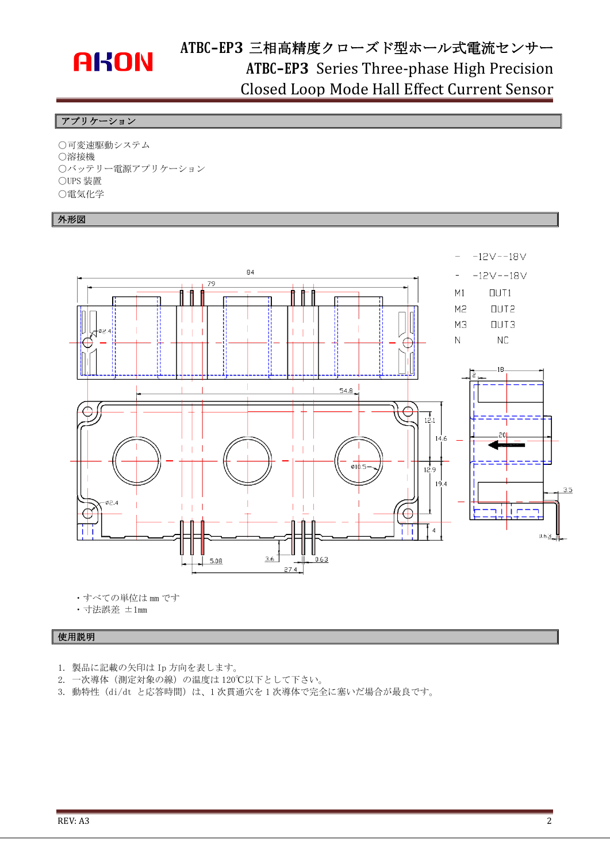# **AKON**

## **ATBC-EP3** 三相高精度クローズド型ホール式電流センサー **ATBC-EP3** Series Three-phase High Precision Closed Loop Mode Hall Effect Current Sensor

#### フプリケーション

○可変速駆動システム ○溶接機 ○バッテリー電源アプリケーション ○UPS 装置 ○電気化学

#### 外形図



・すべての単位は mm です

・寸法誤差 ±1mm

#### 使用説明

- 1. 製品に記載の矢印は Ip 方向を表します。
- 2. 一次導体(測定対象の線)の温度は 120℃以下として下さい。
- 3. 動特性 (di/dt と応答時間)は、1次貫通穴を1次導体で完全に塞いだ場合が最良です。